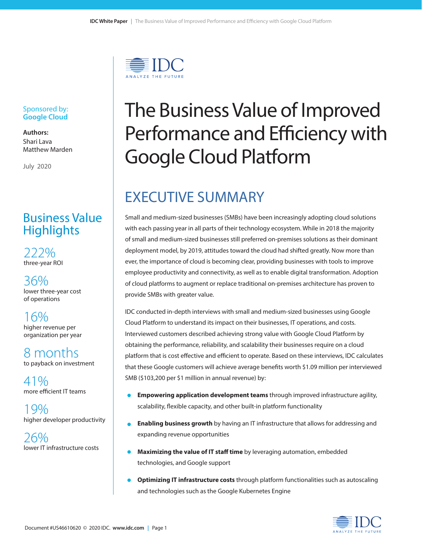

#### Sponsored by: **Google Cloud**

**Authors:** Shari Lava Matthew Marden

July 2020

## Business Value **Highlights**

222% three-year ROI

36% lower three-year cost of operations

16% higher revenue per organization per year

8 months to payback on investment

41% more efficient IT teams

19% higher developer productivity

 $26\%$  lower IT infrastructure costs

# The Business Value of Improved Performance and Efficiency with Google Cloud Platform

# EXECUTIVE SUMMARY

Small and medium-sized businesses (SMBs) have been increasingly adopting cloud solutions with each passing year in all parts of their technology ecosystem. While in 2018 the majority of small and medium-sized businesses still preferred on-premises solutions as their dominant deployment model, by 2019, attitudes toward the cloud had shifted greatly. Now more than ever, the importance of cloud is becoming clear, providing businesses with tools to improve employee productivity and connectivity, as well as to enable digital transformation. Adoption of cloud platforms to augment or replace traditional on-premises architecture has proven to provide SMBs with greater value.

IDC conducted in-depth interviews with small and medium-sized businesses using Google Cloud Platform to understand its impact on their businesses, IT operations, and costs. Interviewed customers described achieving strong value with Google Cloud Platform by obtaining the performance, reliability, and scalability their businesses require on a cloud platform that is cost effective and efficient to operate. Based on these interviews, IDC calculates that these Google customers will achieve average benefits worth \$1.09 million per interviewed SMB (\$103,200 per \$1 million in annual revenue) by:

- **• Empowering application development teams** through improved infrastructure agility, scalability, flexible capacity, and other built-in platform functionality
- **• Enabling business growth** by having an IT infrastructure that allows for addressing and expanding revenue opportunities
- **• Maximizing the value of IT staff time** by leveraging automation, embedded technologies, and Google support
- **• Optimizing IT infrastructure costs** through platform functionalities such as autoscaling and technologies such as the Google Kubernetes Engine

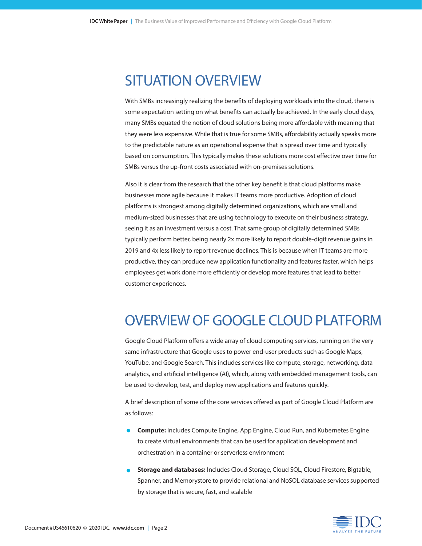# SITUATION OVERVIEW

With SMBs increasingly realizing the benefits of deploying workloads into the cloud, there is some expectation setting on what benefits can actually be achieved. In the early cloud days, many SMBs equated the notion of cloud solutions being more affordable with meaning that they were less expensive. While that is true for some SMBs, affordability actually speaks more to the predictable nature as an operational expense that is spread over time and typically based on consumption. This typically makes these solutions more cost effective over time for SMBs versus the up-front costs associated with on-premises solutions.

Also it is clear from the research that the other key benefit is that cloud platforms make businesses more agile because it makes IT teams more productive. Adoption of cloud platforms is strongest among digitally determined organizations, which are small and medium-sized businesses that are using technology to execute on their business strategy, seeing it as an investment versus a cost. That same group of digitally determined SMBs typically perform better, being nearly 2x more likely to report double-digit revenue gains in 2019 and 4x less likely to report revenue declines. This is because when IT teams are more productive, they can produce new application functionality and features faster, which helps employees get work done more efficiently or develop more features that lead to better customer experiences.

# OVERVIEW OF GOOGLE CLOUD PLATFORM

Google Cloud Platform offers a wide array of cloud computing services, running on the very same infrastructure that Google uses to power end-user products such as Google Maps, YouTube, and Google Search. This includes services like compute, storage, networking, data analytics, and artificial intelligence (AI), which, along with embedded management tools, can be used to develop, test, and deploy new applications and features quickly.

A brief description of some of the core services offered as part of Google Cloud Platform are as follows:

- **• Compute:** Includes Compute Engine, App Engine, Cloud Run, and Kubernetes Engine to create virtual environments that can be used for application development and orchestration in a container or serverless environment
- **• Storage and databases:** Includes Cloud Storage, Cloud SQL, Cloud Firestore, Bigtable, Spanner, and Memorystore to provide relational and NoSQL database services supported by storage that is secure, fast, and scalable

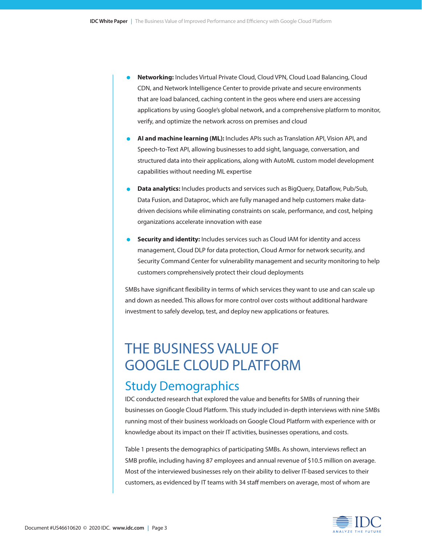- **• Networking:** Includes Virtual Private Cloud, Cloud VPN, Cloud Load Balancing, Cloud CDN, and Network Intelligence Center to provide private and secure environments that are load balanced, caching content in the geos where end users are accessing applications by using Google's global network, and a comprehensive platform to monitor, verify, and optimize the network across on premises and cloud
- **• AI and machine learning (ML):** Includes APIs such as Translation API, Vision API, and Speech-to-Text API, allowing businesses to add sight, language, conversation, and structured data into their applications, along with AutoML custom model development capabilities without needing ML expertise
- **• Data analytics:** Includes products and services such as BigQuery, Dataflow, Pub/Sub, Data Fusion, and Dataproc, which are fully managed and help customers make datadriven decisions while eliminating constraints on scale, performance, and cost, helping organizations accelerate innovation with ease
- **• Security and identity:** Includes services such as Cloud IAM for identity and access management, Cloud DLP for data protection, Cloud Armor for network security, and Security Command Center for vulnerability management and security monitoring to help customers comprehensively protect their cloud deployments

SMBs have significant flexibility in terms of which services they want to use and can scale up and down as needed. This allows for more control over costs without additional hardware investment to safely develop, test, and deploy new applications or features.

# THE BUSINESS VALUE OF GOOGLE CLOUD PLATFORM

# Study Demographics

IDC conducted research that explored the value and benefits for SMBs of running their businesses on Google Cloud Platform. This study included in-depth interviews with nine SMBs running most of their business workloads on Google Cloud Platform with experience with or knowledge about its impact on their IT activities, businesses operations, and costs.

Table 1 presents the demographics of participating SMBs. As shown, interviews reflect an SMB profile, including having 87 employees and annual revenue of \$10.5 million on average. Most of the interviewed businesses rely on their ability to deliver IT-based services to their customers, as evidenced by IT teams with 34 staff members on average, most of whom are

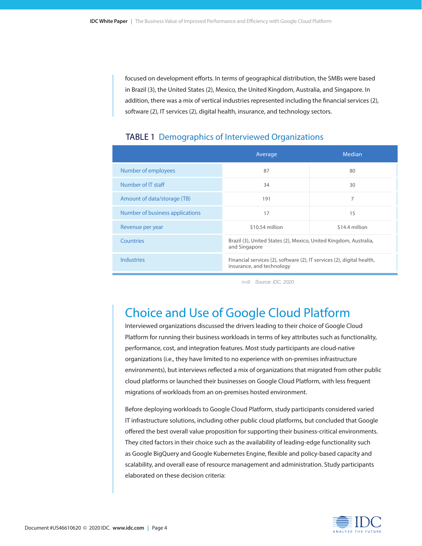focused on development efforts. In terms of geographical distribution, the SMBs were based in Brazil (3), the United States (2), Mexico, the United Kingdom, Australia, and Singapore. In addition, there was a mix of vertical industries represented including the financial services (2), software (2), IT services (2), digital health, insurance, and technology sectors.

#### TABLE 1 Demographics of Interviewed Organizations

|                                 | Average                                                                                             | Median         |
|---------------------------------|-----------------------------------------------------------------------------------------------------|----------------|
| Number of employees             | 87                                                                                                  | 80             |
| Number of IT staff              | 34                                                                                                  | 30             |
| Amount of data/storage (TB)     | 191                                                                                                 | 7              |
| Number of business applications | 17                                                                                                  | 15             |
| Revenue per year                | \$10.54 million                                                                                     | \$14.4 million |
| Countries                       | Brazil (3), United States (2), Mexico, United Kingdom, Australia,<br>and Singapore                  |                |
| <b>Industries</b>               | Financial services (2), software (2), IT services (2), digital health,<br>insurance, and technology |                |

*n=9 Source: IDC, 2020*

## Choice and Use of Google Cloud Platform

Interviewed organizations discussed the drivers leading to their choice of Google Cloud Platform for running their business workloads in terms of key attributes such as functionality, performance, cost, and integration features. Most study participants are cloud-native organizations (i.e., they have limited to no experience with on-premises infrastructure environments), but interviews reflected a mix of organizations that migrated from other public cloud platforms or launched their businesses on Google Cloud Platform, with less frequent migrations of workloads from an on-premises hosted environment.

Before deploying workloads to Google Cloud Platform, study participants considered varied IT infrastructure solutions, including other public cloud platforms, but concluded that Google offered the best overall value proposition for supporting their business-critical environments. They cited factors in their choice such as the availability of leading-edge functionality such as Google BigQuery and Google Kubernetes Engine, flexible and policy-based capacity and scalability, and overall ease of resource management and administration. Study participants elaborated on these decision criteria:

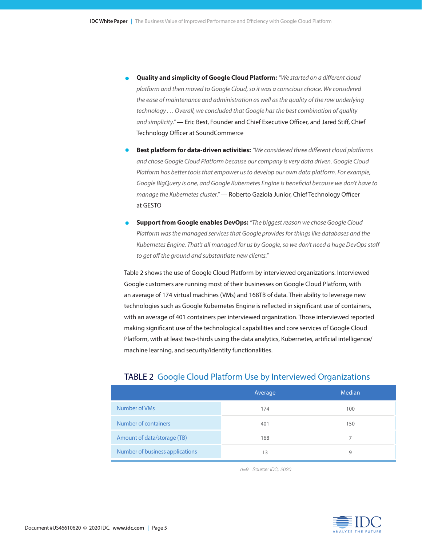- **• Quality and simplicity of Google Cloud Platform:** *"We started on a different cloud platform and then moved to Google Cloud, so it was a conscious choice. We considered the ease of maintenance and administration as well as the quality of the raw underlying technology . . . Overall, we concluded that Google has the best combination of quality and simplicity."* — Eric Best, Founder and Chief Executive Officer, and Jared Stiff, Chief Technology Officer at SoundCommerce
- **• Best platform for data-driven activities:** *"We considered three different cloud platforms and chose Google Cloud Platform because our company is very data driven. Google Cloud Platform has better tools that empower us to develop our own data platform. For example, Google BigQuery is one, and Google Kubernetes Engine is beneficial because we don't have to manage the Kubernetes cluster."* — Roberto Gaziola Junior, Chief Technology Officer at GESTO
- **• Support from Google enables DevOps:** *"The biggest reason we chose Google Cloud Platform was the managed services that Google provides for things like databases and the Kubernetes Engine. That's all managed for us by Google, so we don't need a huge DevOps staff to get off the ground and substantiate new clients."*

Table 2 shows the use of Google Cloud Platform by interviewed organizations. Interviewed Google customers are running most of their businesses on Google Cloud Platform, with an average of 174 virtual machines (VMs) and 168TB of data. Their ability to leverage new technologies such as Google Kubernetes Engine is reflected in significant use of containers, with an average of 401 containers per interviewed organization. Those interviewed reported making significant use of the technological capabilities and core services of Google Cloud Platform, with at least two-thirds using the data analytics, Kubernetes, artificial intelligence/ machine learning, and security/identity functionalities.

|                                 | Average | Median |
|---------------------------------|---------|--------|
| Number of VMs                   | 174     | 100    |
| Number of containers            | 401     | 150    |
| Amount of data/storage (TB)     | 168     |        |
| Number of business applications | 13      | 9      |

#### TABLE 2 Google Cloud Platform Use by Interviewed Organizations

*n=9 Source: IDC, 2020*

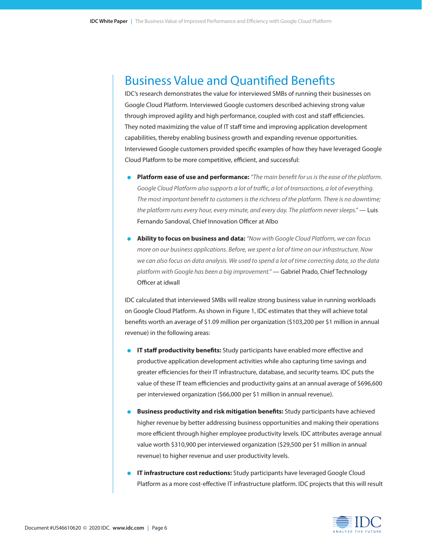### Business Value and Quantified Benefits

IDC's research demonstrates the value for interviewed SMBs of running their businesses on Google Cloud Platform. Interviewed Google customers described achieving strong value through improved agility and high performance, coupled with cost and staff efficiencies. They noted maximizing the value of IT staff time and improving application development capabilities, thereby enabling business growth and expanding revenue opportunities. Interviewed Google customers provided specific examples of how they have leveraged Google Cloud Platform to be more competitive, efficient, and successful:

- **• Platform ease of use and performance:** *"The main benefit for us is the ease of the platform. Google Cloud Platform also supports a lot of traffic, a lot of transactions, a lot of everything. The most important benefit to customers is the richness of the platform. There is no downtime; the platform runs every hour, every minute, and every day. The platform never sleeps."* — Luis Fernando Sandoval, Chief Innovation Officer at Albo
- **• Ability to focus on business and data:** *"Now with Google Cloud Platform, we can focus more on our business applications. Before, we spent a lot of time on our infrastructure. Now we can also focus on data analysis. We used to spend a lot of time correcting data, so the data platform with Google has been a big improvement."* — Gabriel Prado, Chief Technology Officer at idwall

IDC calculated that interviewed SMBs will realize strong business value in running workloads on Google Cloud Platform. As shown in Figure 1, IDC estimates that they will achieve total benefits worth an average of \$1.09 million per organization (\$103,200 per \$1 million in annual revenue) in the following areas:

- **• IT staff productivity benefits:** Study participants have enabled more effective and productive application development activities while also capturing time savings and greater efficiencies for their IT infrastructure, database, and security teams. IDC puts the value of these IT team efficiencies and productivity gains at an annual average of \$696,600 per interviewed organization (\$66,000 per \$1 million in annual revenue).
- **• Business productivity and risk mitigation benefits:** Study participants have achieved higher revenue by better addressing business opportunities and making their operations more efficient through higher employee productivity levels. IDC attributes average annual value worth \$310,900 per interviewed organization (\$29,500 per \$1 million in annual revenue) to higher revenue and user productivity levels.
- **• IT infrastructure cost reductions:** Study participants have leveraged Google Cloud Platform as a more cost-effective IT infrastructure platform. IDC projects that this will result

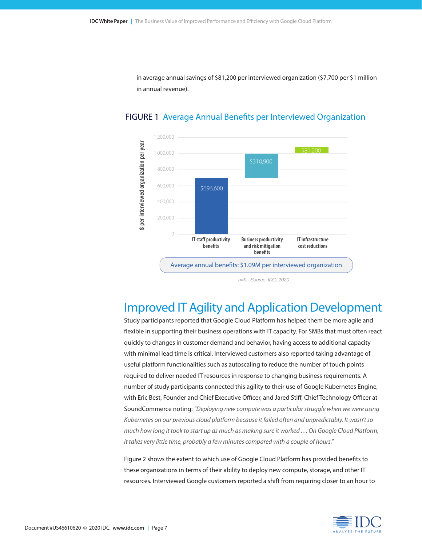in average annual savings of \$81,200 per interviewed organization (\$7,700 per \$1 million in annual revenue).





*n=9 Source: IDC, 2020*

### Improved IT Agility and Application Development

Study participants reported that Google Cloud Platform has helped them be more agile and flexible in supporting their business operations with IT capacity. For SMBs that must often react quickly to changes in customer demand and behavior, having access to additional capacity with minimal lead time is critical. Interviewed customers also reported taking advantage of useful platform functionalities such as autoscaling to reduce the number of touch points required to deliver needed IT resources in response to changing business requirements. A number of study participants connected this agility to their use of Google Kubernetes Engine, with Eric Best, Founder and Chief Executive Officer, and Jared Stiff, Chief Technology Officer at SoundCommerce noting: *"Deploying new compute was a particular struggle when we were using Kubernetes on our previous cloud platform because it failed often and unpredictably. It wasn't so much how long it took to start up as much as making sure it worked . . . On Google Cloud Platform, it takes very little time, probably a few minutes compared with a couple of hours."*

Figure 2 shows the extent to which use of Google Cloud Platform has provided benefits to these organizations in terms of their ability to deploy new compute, storage, and other IT resources. Interviewed Google customers reported a shift from requiring closer to an hour to

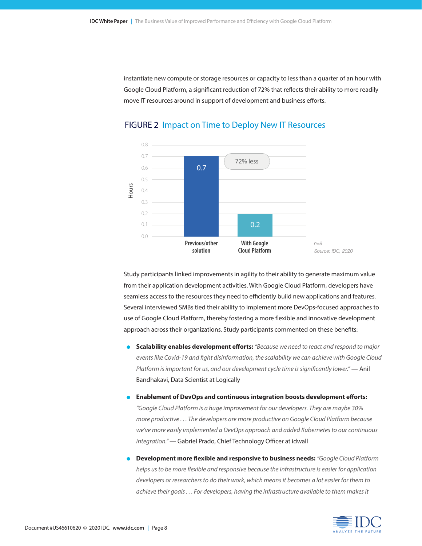instantiate new compute or storage resources or capacity to less than a quarter of an hour with Google Cloud Platform, a significant reduction of 72% that reflects their ability to more readily move IT resources around in support of development and business efforts.



#### FIGURE 2 Impact on Time to Deploy New IT Resources

Study participants linked improvements in agility to their ability to generate maximum value from their application development activities. With Google Cloud Platform, developers have seamless access to the resources they need to efficiently build new applications and features. Several interviewed SMBs tied their ability to implement more DevOps-focused approaches to use of Google Cloud Platform, thereby fostering a more flexible and innovative development approach across their organizations. Study participants commented on these benefits:

- **• Scalability enables development efforts:** *"Because we need to react and respond to major events like Covid-19 and fight disinformation, the scalability we can achieve with Google Cloud Platform is important for us, and our development cycle time is significantly lower."* — Anil Bandhakavi, Data Scientist at Logically
- **• Enablement of DevOps and continuous integration boosts development efforts:**  *"Google Cloud Platform is a huge improvement for our developers. They are maybe 30% more productive . . . The developers are more productive on Google Cloud Platform because we've more easily implemented a DevOps approach and added Kubernetes to our continuous integration."* — Gabriel Prado, Chief Technology Officer at idwall
- **• Development more flexible and responsive to business needs:** *"Google Cloud Platform helps us to be more flexible and responsive because the infrastructure is easier for application developers or researchers to do their work, which means it becomes a lot easier for them to achieve their goals . . . For developers, having the infrastructure available to them makes it*

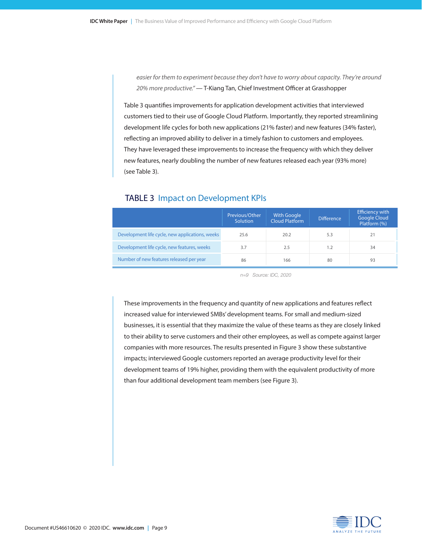*easier for them to experiment because they don't have to worry about capacity. They're around 20% more productive."* — T-Kiang Tan, Chief Investment Officer at Grasshopper

Table 3 quantifies improvements for application development activities that interviewed customers tied to their use of Google Cloud Platform. Importantly, they reported streamlining development life cycles for both new applications (21% faster) and new features (34% faster), reflecting an improved ability to deliver in a timely fashion to customers and employees. They have leveraged these improvements to increase the frequency with which they deliver new features, nearly doubling the number of new features released each year (93% more) (see Table 3).

|                                                 | Previous/Other<br>Solution | <b>With Google</b><br>Cloud Platform | <b>Difference</b> | <b>Efficiency with</b><br><b>Google Cloud</b><br>Platform (%) |
|-------------------------------------------------|----------------------------|--------------------------------------|-------------------|---------------------------------------------------------------|
| Development life cycle, new applications, weeks | 25.6                       | 20.2                                 | 5.3               | 21                                                            |
| Development life cycle, new features, weeks     | 3.7                        | 2.5                                  | 1.2               | 34                                                            |
| Number of new features released per year        | 86                         | 166                                  | 80                | 93                                                            |

#### TABLE 3 Impact on Development KPIs

*n=9 Source: IDC, 2020*

These improvements in the frequency and quantity of new applications and features reflect increased value for interviewed SMBs' development teams. For small and medium-sized businesses, it is essential that they maximize the value of these teams as they are closely linked to their ability to serve customers and their other employees, as well as compete against larger companies with more resources. The results presented in Figure 3 show these substantive impacts; interviewed Google customers reported an average productivity level for their development teams of 19% higher, providing them with the equivalent productivity of more than four additional development team members (see Figure 3).

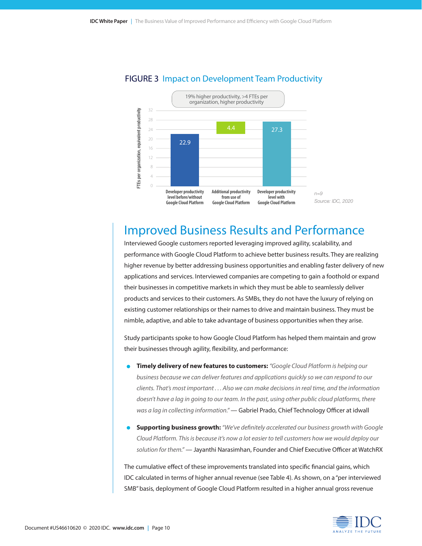

#### FIGURE 3 Impact on Development Team Productivity

### Improved Business Results and Performance

Interviewed Google customers reported leveraging improved agility, scalability, and performance with Google Cloud Platform to achieve better business results. They are realizing higher revenue by better addressing business opportunities and enabling faster delivery of new applications and services. Interviewed companies are competing to gain a foothold or expand their businesses in competitive markets in which they must be able to seamlessly deliver products and services to their customers. As SMBs, they do not have the luxury of relying on existing customer relationships or their names to drive and maintain business. They must be nimble, adaptive, and able to take advantage of business opportunities when they arise.

Study participants spoke to how Google Cloud Platform has helped them maintain and grow their businesses through agility, flexibility, and performance:

- **• Timely delivery of new features to customers:** *"Google Cloud Platform is helping our business because we can deliver features and applications quickly so we can respond to our clients. That's most important . . . Also we can make decisions in real time, and the information doesn't have a lag in going to our team. In the past, using other public cloud platforms, there was a lag in collecting information."* — Gabriel Prado, Chief Technology Officer at idwall
- **• Supporting business growth:** *"We've definitely accelerated our business growth with Google Cloud Platform. This is because it's now a lot easier to tell customers how we would deploy our solution for them."* — Jayanthi Narasimhan, Founder and Chief Executive Officer at WatchRX

The cumulative effect of these improvements translated into specific financial gains, which IDC calculated in terms of higher annual revenue (see Table 4). As shown, on a "per interviewed SMB" basis, deployment of Google Cloud Platform resulted in a higher annual gross revenue

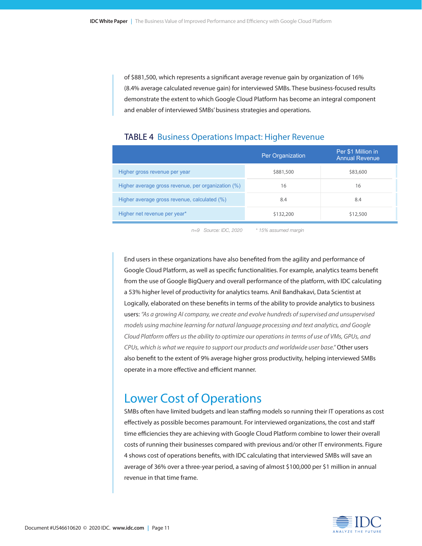of \$881,500, which represents a significant average revenue gain by organization of 16% (8.4% average calculated revenue gain) for interviewed SMBs. These business-focused results demonstrate the extent to which Google Cloud Platform has become an integral component and enabler of interviewed SMBs' business strategies and operations.

|                                                    | Per Organization | Per \$1 Million in<br><b>Annual Revenue</b> |
|----------------------------------------------------|------------------|---------------------------------------------|
| Higher gross revenue per year                      | \$881,500        | \$83,600                                    |
| Higher average gross revenue, per organization (%) | 16               | 16                                          |
| Higher average gross revenue, calculated (%)       | 8.4              | 8.4                                         |
| Higher net revenue per year*                       | \$132,200        | \$12,500                                    |

#### TABLE 4 Business Operations Impact: Higher Revenue

*n=9 Source: IDC, 2020 \* 15% assumed margin*

End users in these organizations have also benefited from the agility and performance of Google Cloud Platform, as well as specific functionalities. For example, analytics teams benefit from the use of Google BigQuery and overall performance of the platform, with IDC calculating a 53% higher level of productivity for analytics teams. Anil Bandhakavi, Data Scientist at Logically, elaborated on these benefits in terms of the ability to provide analytics to business users: *"As a growing AI company, we create and evolve hundreds of supervised and unsupervised models using machine learning for natural language processing and text analytics, and Google Cloud Platform offers us the ability to optimize our operations in terms of use of VMs, GPUs, and CPUs, which is what we require to support our products and worldwide user base."* Other users also benefit to the extent of 9% average higher gross productivity, helping interviewed SMBs operate in a more effective and efficient manner.

### Lower Cost of Operations

SMBs often have limited budgets and lean staffing models so running their IT operations as cost effectively as possible becomes paramount. For interviewed organizations, the cost and staff time efficiencies they are achieving with Google Cloud Platform combine to lower their overall costs of running their businesses compared with previous and/or other IT environments. Figure 4 shows cost of operations benefits, with IDC calculating that interviewed SMBs will save an average of 36% over a three-year period, a saving of almost \$100,000 per \$1 million in annual revenue in that time frame.

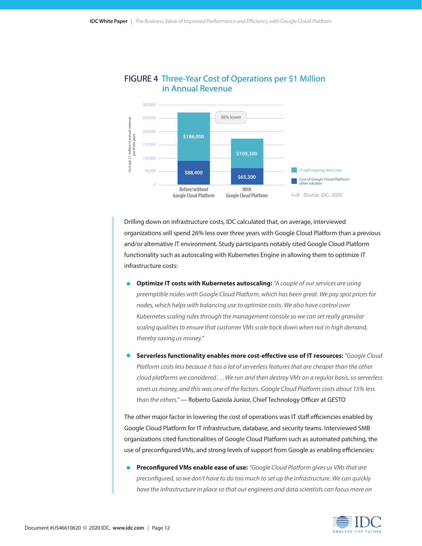

#### FIGURE 4 Three-Year Cost of Operations per \$1 Million in Annual Revenue

Drilling down on infrastructure costs, IDC calculated that, on average, interviewed organizations will spend 26% less over three years with Google Cloud Platform than a previous and/or alternative IT environment. Study participants notably cited Google Cloud Platform functionality such as autoscaling with Kubernetes Engine in allowing them to optimize IT infrastructure costs:

- **• Optimize IT costs with Kubernetes autoscaling:** *"A couple of our services are using preemptible nodes with Google Cloud Platform, which has been great. We pay spot prices for nodes, which helps with balancing use to optimize costs. We also have control over Kubernetes scaling rules through the management console so we can set really granular scaling qualities to ensure that customer VMs scale back down when not in high demand, thereby saving us money."*
- **• Serverless functionality enables more cost-effective use of IT resources:** *"Google Cloud Platform costs less because it has a lot of serverless features that are cheaper than the other cloud platforms we considered . . . We run and then destroy VMs on a regular basis, so serverless saves us money, and this was one of the factors. Google Cloud Platform costs about 15% less than the others."* — Roberto Gaziola Junior, Chief Technology Officer at GESTO

The other major factor in lowering the cost of operations was IT staff efficiencies enabled by Google Cloud Platform for IT infrastructure, database, and security teams. Interviewed SMB organizations cited functionalities of Google Cloud Platform such as automated patching, the use of preconfigured VMs, and strong levels of support from Google as enabling efficiencies:

**• Preconfigured VMs enable ease of use:** *"Google Cloud Platform gives us VMs that are preconfigured, so we don't have to do too much to set up the infrastructure. We can quickly have the infrastructure in place so that our engineers and data scientists can focus more on* 

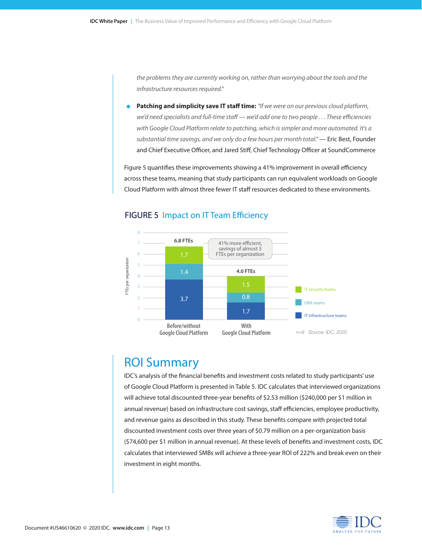*the problems they are currently working on, rather than worrying about the tools and the infrastructure resources required."*

**• Patching and simplicity save IT staff time:** *"If we were on our previous cloud platform, we'd need specialists and full-time staff — we'd add one to two people . . . These efficiencies with Google Cloud Platform relate to patching, which is simpler and more automated. It's a substantial time savings, and we only do a few hours per month total."* — Eric Best, Founder and Chief Executive Officer, and Jared Stiff, Chief Technology Officer at SoundCommerce

Figure 5 quantifies these improvements showing a 41% improvement in overall efficiency across these teams, meaning that study participants can run equivalent workloads on Google Cloud Platform with almost three fewer IT staff resources dedicated to these environments.



#### FIGURE 5 Impact on IT Team Efficiency

### ROI Summary

IDC's analysis of the financial benefits and investment costs related to study participants' use of Google Cloud Platform is presented in Table 5. IDC calculates that interviewed organizations will achieve total discounted three-year benefits of \$2.53 million (\$240,000 per \$1 million in annual revenue) based on infrastructure cost savings, staff efficiencies, employee productivity, and revenue gains as described in this study. These benefits compare with projected total discounted investment costs over three years of \$0.79 million on a per-organization basis (\$74,600 per \$1 million in annual revenue). At these levels of benefits and investment costs, IDC calculates that interviewed SMBs will achieve a three-year ROI of 222% and break even on their investment in eight months.

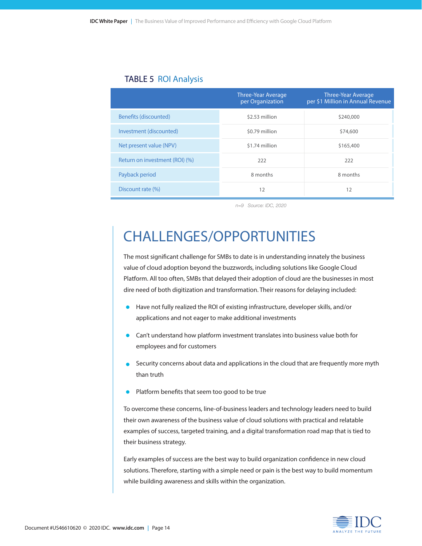#### TABLE 5 ROI Analysis

|                                | <b>Three-Year Average</b><br>per Organization | <b>Three-Year Average</b><br>per \$1 Million in Annual Revenue |
|--------------------------------|-----------------------------------------------|----------------------------------------------------------------|
| Benefits (discounted)          | \$2.53 million                                | \$240,000                                                      |
| Investment (discounted)        | \$0.79 million                                | \$74,600                                                       |
| Net present value (NPV)        | \$1.74 million                                | \$165,400                                                      |
| Return on investment (ROI) (%) | 222                                           | 222                                                            |
| Payback period                 | 8 months                                      | 8 months                                                       |
| Discount rate (%)              | 12                                            | 12                                                             |

*n=9 Source: IDC, 2020*

# CHALLENGES/OPPORTUNITIES

The most significant challenge for SMBs to date is in understanding innately the business value of cloud adoption beyond the buzzwords, including solutions like Google Cloud Platform. All too often, SMBs that delayed their adoption of cloud are the businesses in most dire need of both digitization and transformation. Their reasons for delaying included:

- Have not fully realized the ROI of existing infrastructure, developer skills, and/or applications and not eager to make additional investments
- Can't understand how platform investment translates into business value both for employees and for customers
- Security concerns about data and applications in the cloud that are frequently more myth than truth
- Platform benefits that seem too good to be true

To overcome these concerns, line-of-business leaders and technology leaders need to build their own awareness of the business value of cloud solutions with practical and relatable examples of success, targeted training, and a digital transformation road map that is tied to their business strategy.

Early examples of success are the best way to build organization confidence in new cloud solutions. Therefore, starting with a simple need or pain is the best way to build momentum while building awareness and skills within the organization.

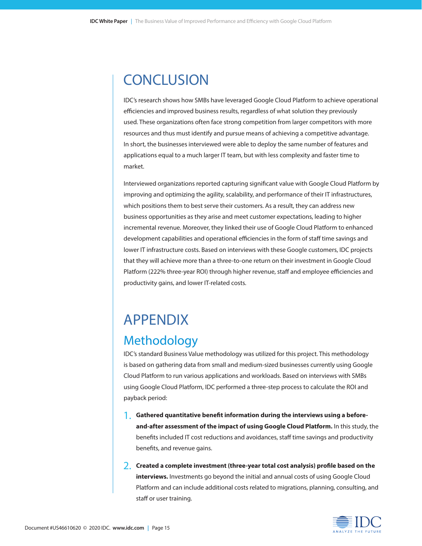# **CONCLUSION**

IDC's research shows how SMBs have leveraged Google Cloud Platform to achieve operational efficiencies and improved business results, regardless of what solution they previously used. These organizations often face strong competition from larger competitors with more resources and thus must identify and pursue means of achieving a competitive advantage. In short, the businesses interviewed were able to deploy the same number of features and applications equal to a much larger IT team, but with less complexity and faster time to market.

Interviewed organizations reported capturing significant value with Google Cloud Platform by improving and optimizing the agility, scalability, and performance of their IT infrastructures, which positions them to best serve their customers. As a result, they can address new business opportunities as they arise and meet customer expectations, leading to higher incremental revenue. Moreover, they linked their use of Google Cloud Platform to enhanced development capabilities and operational efficiencies in the form of staff time savings and lower IT infrastructure costs. Based on interviews with these Google customers, IDC projects that they will achieve more than a three-to-one return on their investment in Google Cloud Platform (222% three-year ROI) through higher revenue, staff and employee efficiencies and productivity gains, and lower IT-related costs.

# APPENDIX **Methodology**

IDC's standard Business Value methodology was utilized for this project. This methodology is based on gathering data from small and medium-sized businesses currently using Google Cloud Platform to run various applications and workloads. Based on interviews with SMBs using Google Cloud Platform, IDC performed a three-step process to calculate the ROI and payback period:

- **1. Gathered quantitative benefit information during the interviews using a before-**1. **and-after assessment of the impact of using Google Cloud Platform.** In this study, the benefits included IT cost reductions and avoidances, staff time savings and productivity benefits, and revenue gains.
- **2. Created a complete investment (three-year total cost analysis) profile based on the**  2.**interviews.** Investments go beyond the initial and annual costs of using Google Cloud Platform and can include additional costs related to migrations, planning, consulting, and staff or user training.

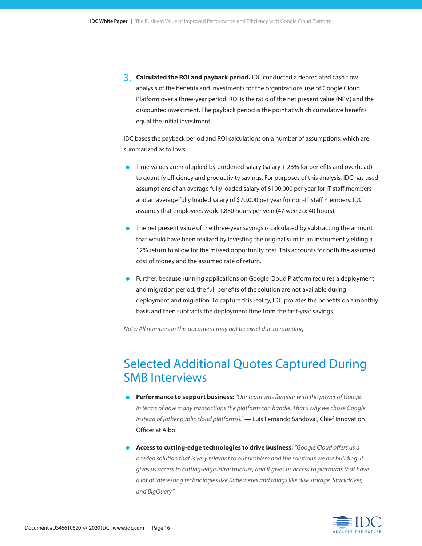**3.** Calculated the ROI and payback period. IDC conducted a depreciated cash flow analysis of the benefits and investments for the organizations' use of Google Cloud Platform over a three-year period. ROI is the ratio of the net present value (NPV) and the discounted investment. The payback period is the point at which cumulative benefits equal the initial investment.

IDC bases the payback period and ROI calculations on a number of assumptions, which are summarized as follows:

- Time values are multiplied by burdened salary (salary  $+ 28%$  for benefits and overhead) to quantify efficiency and productivity savings. For purposes of this analysis, IDC has used assumptions of an average fully loaded salary of \$100,000 per year for IT staff members and an average fully loaded salary of \$70,000 per year for non-IT staff members. IDC assumes that employees work 1,880 hours per year (47 weeks x 40 hours).
- The net present value of the three-year savings is calculated by subtracting the amount that would have been realized by investing the original sum in an instrument yielding a 12% return to allow for the missed opportunity cost. This accounts for both the assumed cost of money and the assumed rate of return.
- Further, because running applications on Google Cloud Platform requires a deployment and migration period, the full benefits of the solution are not available during deployment and migration. To capture this reality, IDC prorates the benefits on a monthly basis and then subtracts the deployment time from the first-year savings.

*Note: All numbers in this document may not be exact due to rounding.*

### Selected Additional Quotes Captured During SMB Interviews

- **• Performance to support business:** *"Our team was familiar with the power of Google in terms of how many transactions the platform can handle. That's why we chose Google instead of [other public cloud platforms]."* — Luis Fernando Sandoval, Chief Innovation Officer at Albo
- **• Access to cutting-edge technologies to drive business:** *"Google Cloud offers us a needed solution that is very relevant to our problem and the solutions we are building. It gives us access to cutting-edge infrastructure, and it gives us access to platforms that have a lot of interesting technologies like Kubernetes and things like disk storage, Stackdriver, and BigQuery."*